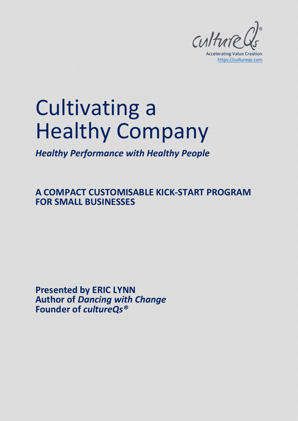

# Cultivating a Healthy Company

*Healthy Performance with Healthy People*

**A COMPACT CUSTOMISABLE KICK-START PROGRAM FOR SMALL BUSINESSES**

**Presented by ERIC LYNN Author of** *Dancing with Change* **Founder of** *cultureQs®*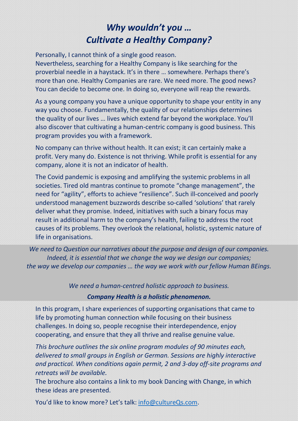# *Why wouldn't you … Cultivate a Healthy Company?*

Personally, I cannot think of a single good reason.

Nevertheless, searching for a Healthy Company is like searching for the proverbial needle in a haystack. It's in there … somewhere. Perhaps there's more than one. Healthy Companies are rare. We need more. The good news? You can decide to become one. In doing so, everyone will reap the rewards.

As a young company you have a unique opportunity to shape your entity in any way you choose. Fundamentally, the quality of our relationships determines the quality of our lives … lives which extend far beyond the workplace. You'll also discover that cultivating a human-centric company is good business. This program provides you with a framework.

No company can thrive without health. It can exist; it can certainly make a profit. Very many do. Existence is not thriving. While profit is essential for any company, alone it is not an indicator of health.

The Covid pandemic is exposing and amplifying the systemic problems in all societies. Tired old mantras continue to promote "change management", the need for "agility", efforts to achieve "resilience". Such ill-conceived and poorly understood management buzzwords describe so-called 'solutions' that rarely deliver what they promise. Indeed, initiatives with such a binary focus may result in additional harm to the company's health, failing to address the root causes of its problems. They overlook the relational, holistic, systemic nature of life in organisations.

*We need to Question our narratives about the purpose and design of our companies. Indeed, it is essential that we change the way we design our companies; the way we develop our companies … the way we work with our fellow Human BEings.*

*We need a human-centred holistic approach to business.*

*Company Health is a holistic phenomenon.*

In this program, I share experiences of supporting organisations that came to life by promoting human connection while focusing on their business challenges. In doing so, people recognise their interdependence, enjoy cooperating, and ensure that they all thrive and realise genuine value.

*This brochure outlines the six online program modules of 90 minutes each, delivered to small groups in English or German. Sessions are highly interactive and practical. When conditions again permit, 2 and 3-day off-site programs and retreats will be available.*

The brochure also contains a link to my book Dancing with Change, in which these ideas are presented.

You'd like to know more? Let's talk: [info@cultureQs.com.](mailto:info@cultureQs.com)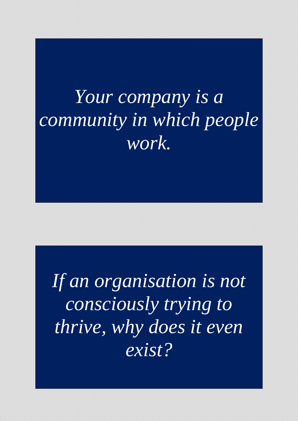# *Your company is a community in which people work.*

*If an organisation is not consciously trying to thrive, why does it even exist?*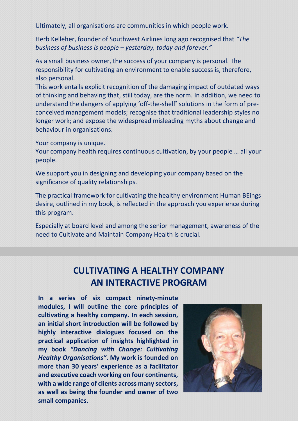Ultimately, all organisations are communities in which people work.

Herb Kelleher, founder of Southwest Airlines long ago recognised that *"The business of business is people – yesterday, today and forever."*

As a small business owner, the success of your company is personal. The responsibility for cultivating an environment to enable success is, therefore, also personal.

This work entails explicit recognition of the damaging impact of outdated ways of thinking and behaving that, still today, are the norm. In addition, we need to understand the dangers of applying 'off-the-shelf' solutions in the form of preconceived management models; recognise that traditional leadership styles no longer work; and expose the widespread misleading myths about change and behaviour in organisations.

Your company is unique.

Your company health requires continuous cultivation, by your people … all your people.

We support you in designing and developing your company based on the significance of quality relationships.

The practical framework for cultivating the healthy environment Human BEings desire, outlined in my book, is reflected in the approach you experience during this program.

Especially at board level and among the senior management, awareness of the need to Cultivate and Maintain Company Health is crucial.

# **CULTIVATING A HEALTHY COMPANY AN INTERACTIVE PROGRAM**

**In a series of six compact ninety-minute modules, I will outline the core principles of cultivating a healthy company. In each session, an initial short introduction will be followed by highly interactive dialogues focused on the practical application of insights highlighted in my book** *"Dancing with Change: Cultivating Healthy Organisations"***. My work is founded on more than 30 years' experience as a facilitator and executive coach working on four continents, with a wide range of clients across many sectors, as well as being the founder and owner of two small companies.**

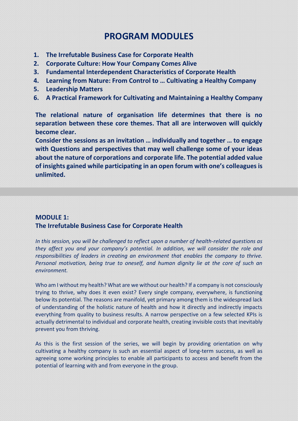## **PROGRAM MODULES**

- **1. The Irrefutable Business Case for Corporate Health**
- **2. Corporate Culture: How Your Company Comes Alive**
- **3. Fundamental Interdependent Characteristics of Corporate Health**
- **4. Learning from Nature: From Control to … Cultivating a Healthy Company**
- **5. Leadership Matters**
- **6. A Practical Framework for Cultivating and Maintaining a Healthy Company**

**The relational nature of organisation life determines that there is no separation between these core themes. That all are interwoven will quickly become clear.** 

**Consider the sessions as an invitation … individually and together … to engage with Questions and perspectives that may well challenge some of your ideas about the nature of corporations and corporate life. The potential added value of insights gained while participating in an open forum with one's colleagues is unlimited.**

## **MODULE 1: The Irrefutable Business Case for Corporate Health**

*In this session, you will be challenged to reflect upon a number of health-related questions as they affect you and your company's potential. In addition, we will consider the role and responsibilities of leaders in creating an environment that enables the company to thrive. Personal motivation, being true to oneself, and human dignity lie at the core of such an environment.*

Who am I without my health? What are we without our health? If a company is not consciously trying to thrive, why does it even exist? Every single company, everywhere, is functioning below its potential. The reasons are manifold, yet primary among them is the widespread lack of understanding of the holistic nature of health and how it directly and indirectly impacts everything from quality to business results. A narrow perspective on a few selected KPIs is actually detrimental to individual and corporate health, creating invisible costs that inevitably prevent you from thriving.

As this is the first session of the series, we will begin by providing orientation on why cultivating a healthy company is such an essential aspect of long-term success, as well as agreeing some working principles to enable all participants to access and benefit from the potential of learning with and from everyone in the group.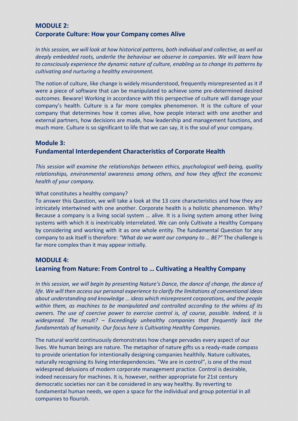## **MODULE 2: Corporate Culture: How your Company comes Alive**

*In this session, we will look at how historical patterns, both individual and collective, as well as deeply embedded roots, underlie the behaviour we observe in companies. We will learn how to consciously experience the dynamic nature of culture, enabling us to change its patterns by cultivating and nurturing a healthy environment.*

The notion of culture, like change is widely misunderstood, frequently misrepresented as it if were a piece of software that can be manipulated to achieve some pre-determined desired outcomes. Beware! Working in accordance with this perspective of culture will damage your company's health. Culture is a far more complex phenomenon. It is the culture of your company that determines how it comes alive, how people interact with one another and external partners, how decisions are made, how leadership and management functions, and much more. Culture is so significant to life that we can say, it is the soul of your company.

#### **Module 3:**

### **Fundamental Interdependent Characteristics of Corporate Health**

*This session will examine the relationships between ethics, psychological well-being, quality relationships, environmental awareness among others, and how they affect the economic health of your company.*

#### What constitutes a healthy company?

To answer this Question, we will take a look at the 13 core characteristics and how they are intricately intertwined with one another. Corporate health is a holistic phenomenon. Why? Because a company is a living social system … alive. It is a living system among other living systems with which it is inextricably interrelated. We can only Cultivate a Healthy Company by considering and working with it as one whole entity. The fundamental Question for any company to ask itself is therefore: *"What do we want our company to … BE?"* The challenge is far more complex than it may appear initially.

#### **MODULE 4:**

#### **Learning from Nature: From Control to … Cultivating a Healthy Company**

*In this session, we will begin by presenting Nature's Dance, the dance of change, the dance of life. We will then access our personal experience to clarify the limitations of conventional ideas about understanding and knowledge … ideas which misrepresent corporations, and the people within them, as machines to be manipulated and controlled according to the whims of its owners. The use of coercive power to exercise control is, of course, possible. Indeed, it is widespread. The result? – Exceedingly unhealthy companies that frequently lack the fundamentals of humanity. Our focus here is Cultivating Healthy Companies.* 

The natural world continuously demonstrates how change pervades every aspect of our lives. We human beings are nature. The metaphor of nature gifts us a ready-made compass to provide orientation for intentionally designing companies healthily. Nature cultivates, naturally recognising its living interdependencies. "We are in control", is one of the most widespread delusions of modern corporate management practice. Control is desirable, indeed necessary for machines. It is, however, neither appropriate for 21st century democratic societies nor can it be considered in any way healthy. By reverting to fundamental human needs, we open a space for the individual and group potential in all companies to flourish.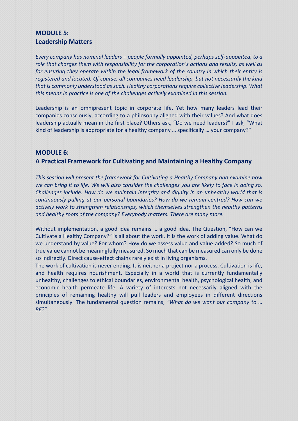## **MODULE 5: Leadership Matters**

*Every company has nominal leaders – people formally appointed, perhaps self-appointed, to a role that charges them with responsibility for the corporation's actions and results, as well as for ensuring they operate within the legal framework of the country in which their entity is registered and located. Of course, all companies need leadership, but not necessarily the kind that is commonly understood as such. Healthy corporations require collective leadership. What this means in practice is one of the challenges actively examined in this session.*

Leadership is an omnipresent topic in corporate life. Yet how many leaders lead their companies consciously, according to a philosophy aligned with their values? And what does leadership actually mean in the first place? Others ask, "Do we need leaders?" I ask, "What kind of leadership is appropriate for a healthy company … specifically … your company?"

#### **MODULE 6:**

#### **A Practical Framework for Cultivating and Maintaining a Healthy Company**

*This session will present the framework for Cultivating a Healthy Company and examine how we can bring it to life. We will also consider the challenges you are likely to face in doing so. Challenges include: How do we maintain integrity and dignity in an unhealthy world that is continuously pulling at our personal boundaries? How do we remain centred? How can we actively work to strengthen relationships, which themselves strengthen the healthy patterns and healthy roots of the company? Everybody matters. There are many more.*

Without implementation, a good idea remains … a good idea. The Question, "How can we Cultivate a Healthy Company?" is all about the work. It is the work of adding value. What do we understand by value? For whom? How do we assess value and value-added? So much of true value cannot be meaningfully measured. So much that can be measured can only be done so indirectly. Direct cause-effect chains rarely exist in living organisms.

The work of cultivation is never ending. It is neither a project nor a process. Cultivation is life, and health requires nourishment. Especially in a world that is currently fundamentally unhealthy, challenges to ethical boundaries, environmental health, psychological health, and economic health permeate life. A variety of interests not necessarily aligned with the principles of remaining healthy will pull leaders and employees in different directions simultaneously. The fundamental question remains, *"What do we want our company to … BE?"*